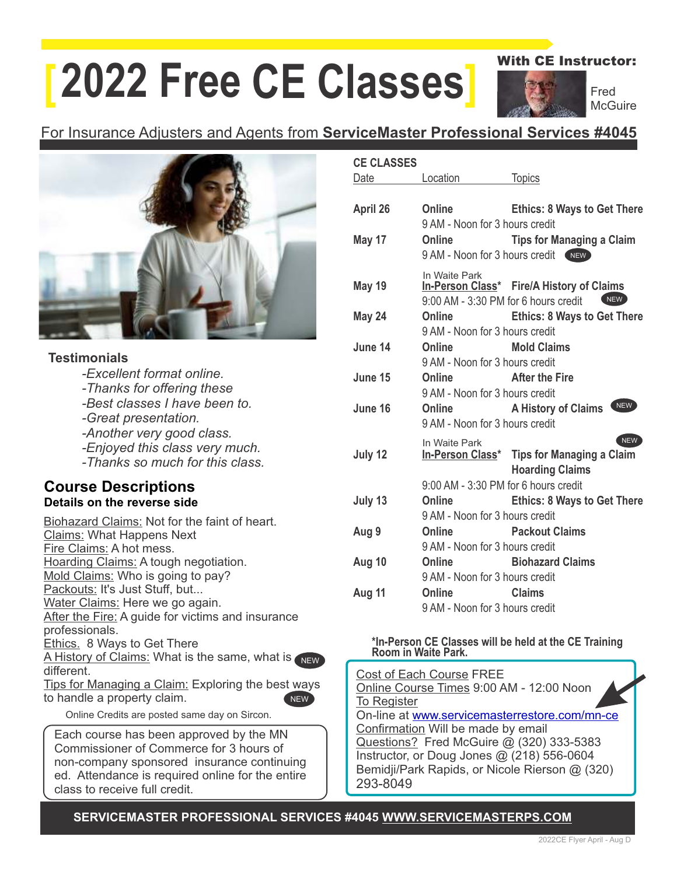# **[ 2022 Free CE Classes]**

With CE Instructor:

Fred **McGuire** 

### For Insurance Adjusters and Agents from **ServiceMaster Professional Services #4045**



#### **Testimonials**

| -Excellent format online.       |
|---------------------------------|
| -Thanks for offering these      |
| -Best classes I have been to.   |
| -Great presentation.            |
| -Another very good class.       |
| -Enjoyed this class very much.  |
| -Thanks so much for this class. |

#### **Course Descriptions Details on the reverse side**

| Biohazard Claims: Not for the faint of heart.     |
|---------------------------------------------------|
| <b>Claims: What Happens Next</b>                  |
| Fire Claims: A hot mess.                          |
| Hoarding Claims: A tough negotiation.             |
| Mold Claims: Who is going to pay?                 |
| Packouts: It's Just Stuff, but                    |
| Water Claims: Here we go again.                   |
| After the Fire: A guide for victims and insurance |
| professionals.                                    |
| <b>Ethics. 8 Ways to Get There</b>                |
| A History of Claims: What is the same, what is    |
| different.                                        |

Tips for Managing a Claim: Exploring the best ways to handle a property claim. NEW

Online Credits are posted same day on Sircon.

Each course has been approved by the MN Commissioner of Commerce for 3 hours of non-company sponsored insurance continuing ed. Attendance is required online for the entire class to receive full credit.

| <b>CE CLASSES</b> |                                                         |                                                                             |
|-------------------|---------------------------------------------------------|-----------------------------------------------------------------------------|
| Date              | Location                                                | <b>Topics</b>                                                               |
| April 26          | <b>Online</b><br>9 AM - Noon for 3 hours credit         | <b>Ethics: 8 Ways to Get There</b>                                          |
| May 17            | Online                                                  | Tips for Managing a Claim<br>9 AM - Noon for 3 hours credit (NEW)           |
| <b>May 19</b>     | In Waite Park<br>9:00 AM - 3:30 PM for 6 hours credit   | In-Person Class* Fire/A History of Claims<br>NEW                            |
| May 24            | <b>Online</b><br>9 AM - Noon for 3 hours credit         | <b>Ethics: 8 Ways to Get There</b>                                          |
| June 14           | Online<br>9 AM - Noon for 3 hours credit                | <b>Mold Claims</b>                                                          |
| June 15           | Online After the Fire<br>9 AM - Noon for 3 hours credit |                                                                             |
| June 16           | <b>Online</b><br>9 AM - Noon for 3 hours credit         | NEW<br><b>A History of Claims</b>                                           |
| July 12           | In Waite Park<br>9:00 AM - 3:30 PM for 6 hours credit   | NEW<br>In-Person Class* Tips for Managing a Claim<br><b>Hoarding Claims</b> |
| July 13           | Online<br>9 AM - Noon for 3 hours credit                | <b>Ethics: 8 Ways to Get There</b>                                          |
| Aug 9             | Online<br>9 AM - Noon for 3 hours credit                | <b>Packout Claims</b>                                                       |
| Aug 10            | Online<br>9 AM - Noon for 3 hours credit                | <b>Example 13 Biohazard Claims</b>                                          |
| Aug 11            | Online<br>9 AM - Noon for 3 hours credit                | <b>Claims</b>                                                               |

#### **\*In-Person CE Classes will be held at the CE Training Room in Waite Park.**

Cost of Each Course FREE Online Course Times 9:00 AM - 12:00 Noon To Register On-line at [www.servicemasterrestore.com/mn-ce](http://www.servicemasterrestore.com/mn-ce) Confirmation Will be made by email Questions? Fred McGuire @ (320) 333-5383 Instructor, or Doug Jones @ (218) 556-0604 Bemidji/Park Rapids, or Nicole Rierson @ (320) 293-8049

**SERVICEMASTER PROFESSIONAL SERVICES #4045 WWW.SERVICEMASTERPS.COM** 

NEW